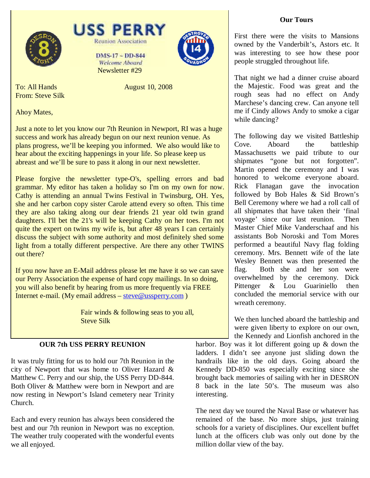





DMS-17 ~ DD-844 **Welcome Aboard** Newsletter #29



To: All Hands August 10, 2008 From: Steve Silk

Ahoy Mates,

Just a note to let you know our 7th Reunion in Newport, RI was a huge success and work has already begun on our next reunion venue. As plans progress, we'll be keeping you informed. We also would like to hear about the exciting happenings in your life. So please keep us abreast and we'll be sure to pass it along in our next newsletter.

Please forgive the newsletter type-O's, spelling errors and bad grammar. My editor has taken a holiday so I'm on my own for now. Cathy is attending an annual Twins Festival in Twinsburg, OH. Yes, she and her carbon copy sister Carole attend every so often. This time they are also taking along our dear friends 21 year old twin grand daughters. I'll bet the 21's will be keeping Cathy on her toes. I'm not quite the expert on twins my wife is, but after 48 years I can certainly discuss the subject with some authority and most definitely shed some light from a totally different perspective. Are there any other TWINS out there?

If you now have an E-Mail address please let me have it so we can save our Perry Association the expense of hard copy mailings. In so doing, you will also benefit by hearing from us more frequently via FREE Internet e-mail. (My email address – steve@ussperry.com )

> Fair winds & following seas to you all, Steve Silk

# **OUR 7th USS PERRY REUNION**

It was truly fitting for us to hold our 7th Reunion in the city of Newport that was home to Oliver Hazard & Matthew C. Perry and our ship, the USS Perry DD-844. Both Oliver & Matthew were born in Newport and are now resting in Newport's Island cemetery near Trinity Church.

Each and every reunion has always been considered the best and our 7th reunion in Newport was no exception. The weather truly cooperated with the wonderful events we all enjoyed.

First there were the visits to Mansions owned by the Vanderbilt's, Astors etc. It was interesting to see how these poor people struggled throughout life.

That night we had a dinner cruise aboard the Majestic. Food was great and the rough seas had no effect on Andy Marchese's dancing crew. Can anyone tell me if Cindy allows Andy to smoke a cigar while dancing?

The following day we visited Battleship Cove. Aboard the battleship Massachusetts we paid tribute to our shipmates "gone but not forgotten". Martin opened the ceremony and I was honored to welcome everyone aboard. Rick Flanagan gave the invocation followed by Bob Hales & Sid Brown's Bell Ceremony where we had a roll call of all shipmates that have taken their 'final voyage' since our last reunion. Then Master Chief Mike Vanderschaaf and his assistants Bob Noroski and Tom Mores performed a beautiful Navy flag folding ceremony. Mrs. Bennett wife of the late Wesley Bennett was then presented the flag. Both she and her son were overwhelmed by the ceremony. Dick Pittenger & Lou Guariniello then concluded the memorial service with our wreath ceremony.

We then lunched aboard the battleship and were given liberty to explore on our own, the Kennedy and Lionfish anchored in the

harbor. Boy was it lot different going up & down the ladders. I didn't see anyone just sliding down the handrails like in the old days. Going aboard the Kennedy DD-850 was especially exciting since she brought back memories of sailing with her in DESRON 8 back in the late 50's. The museum was also interesting.

The next day we toured the Naval Base or whatever has remained of the base. No more ships, just training schools for a variety of disciplines. Our excellent buffet lunch at the officers club was only out done by the million dollar view of the bay.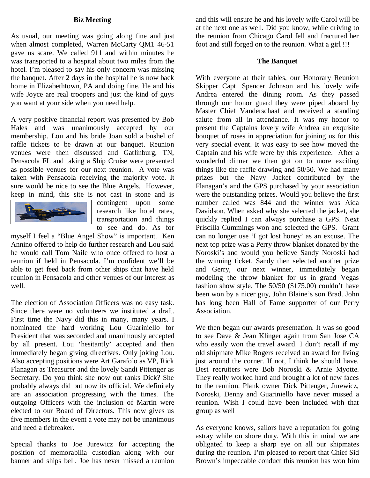# **Biz Meeting**

As usual, our meeting was going along fine and just when almost completed, Warren McCarty QM1 46-51 gave us scare. We called 911 and within minutes he was transported to a hospital about two miles from the hotel. I'm pleased to say his only concern was missing the banquet. After 2 days in the hospital he is now back home in Elizabethtown, PA and doing fine. He and his wife Joyce are real troopers and just the kind of guys you want at your side when you need help.

A very positive financial report was presented by Bob Hales and was unanimously accepted by our membership. Lou and his bride Joan sold a bushel of raffle tickets to be drawn at our banquet. Reunion venues were then discussed and Gatlinburg, TN, Pensacola FL and taking a Ship Cruise were presented as possible venues for our next reunion. A vote was taken with Pensacola receiving the majority vote. It sure would be nice to see the Blue Angels. However, keep in mind, this site is not cast in stone and is



contingent upon some research like hotel rates, transportation and things to see and do. As for

myself I feel a "Blue Angel Show" is important. Ken Annino offered to help do further research and Lou said he would call Tom Naile who once offered to host a reunion if held in Pensacola. I'm confident we'll be able to get feed back from other ships that have held reunion in Pensacola and other venues of our interest as well.

The election of Association Officers was no easy task. Since there were no volunteers we instituted a draft. First time the Navy did this in many, many years. I nominated the hard working Lou Guariniello for President that was seconded and unanimously accepted by all present. Lou 'hesitantly' accepted and then immediately began giving directives. Only joking Lou. Also accepting positions were Art Garafolo as VP, Rick Flanagan as Treasurer and the lovely Sandi Pittenger as Secretary. Do you think she now out ranks Dick? She probably always did but now its official. We definitely are an association progressing with the times. The outgoing Officers with the inclusion of Martin were elected to our Board of Directors. This now gives us five members in the event a vote may not be unanimous and need a tiebreaker.

Special thanks to Joe Jurewicz for accepting the position of memorabilia custodian along with our banner and ships bell. Joe has never missed a reunion

and this will ensure he and his lovely wife Carol will be at the next one as well. Did you know, while driving to the reunion from Chicago Carol fell and fractured her foot and still forged on to the reunion. What a girl !!!

#### **The Banquet**

With everyone at their tables, our Honorary Reunion Skipper Capt. Spencer Johnson and his lovely wife Andrea entered the dining room. As they passed through our honor guard they were piped aboard by Master Chief Vanderschaaf and received a standing salute from all in attendance. It was my honor to present the Captains lovely wife Andrea an exquisite bouquet of roses in appreciation for joining us for this very special event. It was easy to see how moved the Captain and his wife were by this experience. After a wonderful dinner we then got on to more exciting things like the raffle drawing and 50/50. We had many prizes but the Navy Jacket contributed by the Flanagan's and the GPS purchased by your association were the outstanding prizes. Would you believe the first number called was 844 and the winner was Aida Davidson. When asked why she selected the jacket, she quickly replied I can always purchase a GPS. Next Priscilla Cummings won and selected the GPS. Grant can no longer use 'I got lost honey' as an excuse. The next top prize was a Perry throw blanket donated by the Noroski's and would you believe Sandy Noroski had the winning ticket. Sandy then selected another prize and Gerry, our next winner, immediately began modeling the throw blanket for us in grand Vegas fashion show style. The 50/50 (\$175.00) couldn't have been won by a nicer guy, John Blaine's son Brad. John has long been Hall of Fame supporter of our Perry Association.

We then began our awards presentation. It was so good to see Dave & Jean Klinger again from San Jose CA who easily won the travel award. I don't recall if my old shipmate Mike Rogers received an award for living just around the corner. If not, I think he should have. Best recruiters were Bob Noroski & Arnie Myotte. They really worked hard and brought a lot of new faces to the reunion. Plank owner Dick Pittenger, Jurewicz, Noroski, Denny and Guariniello have never missed a reunion. Wish I could have been included with that group as well

As everyone knows, sailors have a reputation for going astray while on shore duty. With this in mind we are obligated to keep a sharp eye on all our shipmates during the reunion. I'm pleased to report that Chief Sid Brown's impeccable conduct this reunion has won him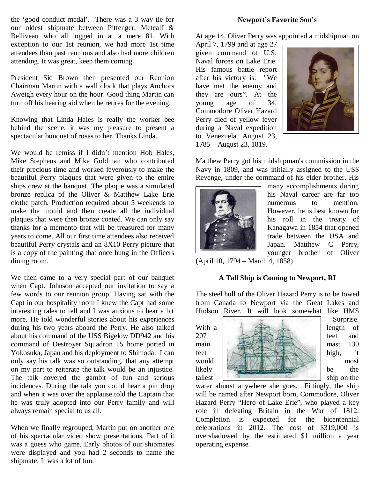the 'good conduct medal'. There was a 3 way tie for our oldest shipmate between Pittenger, Metcalf & Belliveau who all logged in at a mere 81. With exception to our 1st reunion, we had more 1st time attendees than past reunions and also had more children attending. It was great, keep them coming.

President Sid Brown then presented our Reunion Chairman Martin with a wall clock that plays Anchors Aweigh every hour on the hour. Good thing Martin can turn off his hearing aid when he retires for the evening.

Knowing that Linda Hales is really the worker bee behind the scene, it was my pleasure to present a spectacular bouquet of roses to her. Thanks Linda.

We would be remiss if I didn't mention Hob Hales, Mike Stephens and Mike Goldman who contributed their precious time and worked feverously to make the beautiful Perry plaques that were given to the entire ships crew at the banquet. The plaque was a simulated bronze replica of the Oliver & Matthew Lake Erie clothe patch. Production required about 5 weekends to make the mould and then create all the individual plaques that were then bronze coated. We can only say thanks for a memento that will be treasured for many years to come. All our first time attendees also received beautiful Perry crystals and an 8X10 Perry picture that is a copy of the painting that once hung in the Officers dining room.

We then came to a very special part of our banquet when Capt. Johnson accepted our invitation to say a few words to our reunion group. Having sat with the Capt in our hospitality room I knew the Capt had some interesting tales to tell and I was anxious to hear a bit more. He told wonderful stories about his experiences during his two years aboard the Perry. He also talked about his command of the USS Bigelow DD942 and his command of Destroyer Squadron 15 home ported in Yokosuka, Japan and his deployment to Shimoda. I can only say his talk was so outstanding, that any attempt on my part to reiterate the talk would be an injustice. The talk covered the gambit of fun and serious incidences. During the talk you could hear a pin drop and when it was over the applause told the Captain that he was truly adopted into our Perry family and will always remain special to us all.

When we finally regrouped, Martin put on another one of his spectacular video show presentations. Part of it was a guess who game. Early photos of our shipmates were displayed and you had 2 seconds to name the shipmate. It was a lot of fun.

#### **Newport's Favorite Son's**

At age 14, Oliver Perry was appointed a midshipman on

April 7, 1799 and at age 27 given command of U.S. Naval forces on Lake Erie. His famous battle report after his victory is: "We have met the enemy and they are ours". At the young age of 34, Commodore Oliver Hazard Perry died of yellow fever during a Naval expedition to Venezuela. August 23, 1785 – August 23, 1819.



Matthew Perry got his midshipman's commission in the Navy in 1809, and was initially assigned to the USS Revenge, under the command of his elder brother. His



many accomplishments during his Naval career are far too numerous to mention. However, he is best known for his roll in the treaty of Kanagawa in 1854 that opened trade between the USA and Japan. Matthew C Perry, younger brother of Oliver

(April 10, 1794 – March 4, 1858)

### **A Tall Ship is Coming to Newport, RI**

The steel hull of the Oliver Hazard Perry is to be towed from Canada to Newport via the Great Lakes and Hudson River. It will look somewhat like HMS



Surprise.

water almost anywhere she goes. Fittingly, the ship will be named after Newport born, Commodore, Oliver Hazard Perry "Hero of Lake Erie", who played a key role in defeating Britain in the War of 1812. Completion is expected for the bicentennial celebrations in 2012. The cost of \$319,000 is overshadowed by the estimated \$1 million a year operating expense.